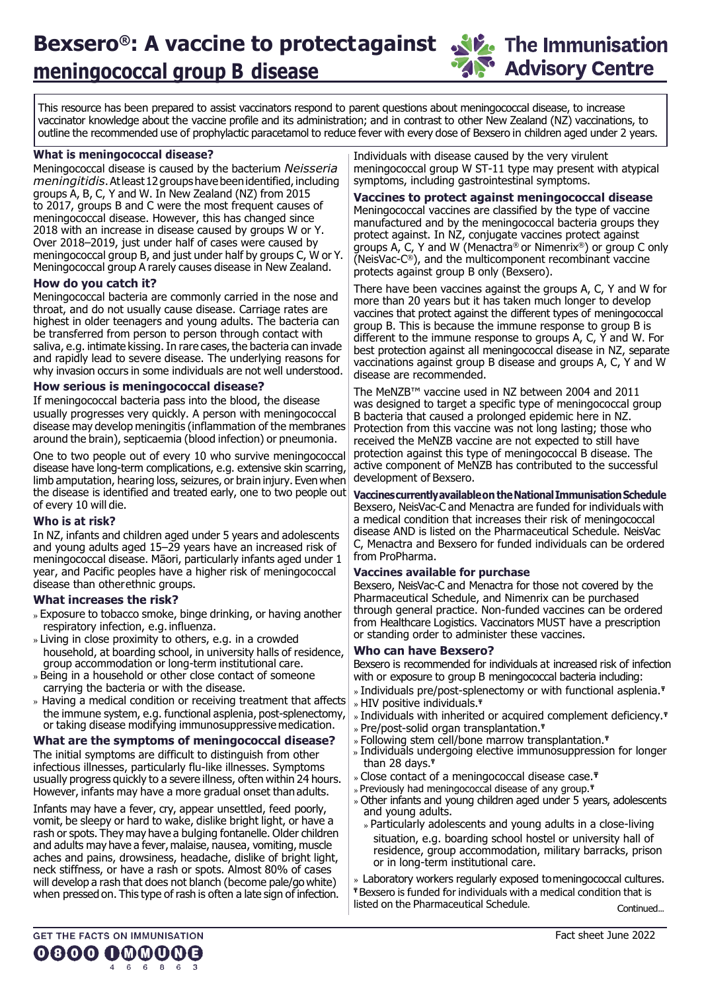## **Bexsero**<sup>®</sup>: A vaccine to protectagainst **A** the Immunisation **meningococcal group B disease**

**Advisory Centre** 

This resource has been prepared to assist vaccinators respond to parent questions about meningococcal disease, to increase vaccinator knowledge about the vaccine profile and its administration; and in contrast to other New Zealand (NZ) vaccinations, to outline the recommended use of prophylactic paracetamol to reduce fever with every dose of Bexsero in children aged under 2 years.

#### **What is meningococcal disease?**

Meningococcal disease is caused by the bacterium *Neisseria meningitidis*.Atleast12groupshavebeenidentified,including groups A, B, C, Y and W. In New Zealand (NZ) from 2015 to 2017, groups B and C were the most frequent causes of meningococcal disease. However, this has changed since 2018 with an increase in disease caused by groups W or Y. Over 2018–2019, just under half of cases were caused by meningococcal group B, and just under half by groups C, W or Y. Meningococcal group A rarely causes disease in New Zealand.

#### **How do you catch it?**

Meningococcal bacteria are commonly carried in the nose and throat, and do not usually cause disease. Carriage rates are highest in older teenagers and young adults. The bacteria can be transferred from person to person through contact with saliva, e.g. intimate kissing. In rare cases, the bacteria can invade and rapidly lead to severe disease. The underlying reasons for why invasion occurs in some individuals are not well understood.

#### **How serious is meningococcal disease?**

If meningococcal bacteria pass into the blood, the disease usually progresses very quickly. A person with meningococcal disease may develop meningitis (inflammation of the membranes around the brain), septicaemia (blood infection) or pneumonia.

One to two people out of every 10 who survive meningococcal disease have long-term complications, e.g. extensive skin scarring, limb amputation, hearing loss, seizures, or brain injury. Even when the disease is identified and treated early, one to two people out of every 10 will die.

#### **Who is at risk?**

In NZ, infants and children aged under 5 years and adolescents and young adults aged 15–29 years have an increased risk of meningococcal disease. Māori, particularly infants aged under 1 year, and Pacific peoples have a higher risk of meningococcal disease than otherethnic groups.

#### **What increases the risk?**

- » Exposure to tobacco smoke, binge drinking, or having another respiratory infection, e.g.influenza.
- Living in close proximity to others, e.g. in a crowded household, at boarding school, in university halls of residence, group accommodation or long-term institutional care.
- » Being in a household or other close contact of someone carrying the bacteria or with the disease.
- » Having a medical condition or receiving treatment that affects the immune system, e.g. functional asplenia, post-splenectomy, or taking disease modifying immunosuppressive medication.

#### **What are the symptoms of meningococcal disease?**

The initial symptoms are difficult to distinguish from other infectious illnesses, particularly flu-like illnesses. Symptoms usually progress quickly to a severe illness, often within 24 hours. However, infants may have a more gradual onset thanadults.

Infants may have a fever, cry, appear unsettled, feed poorly, vomit, be sleepy or hard to wake, dislike bright light, or have a rash or spots. They may have a bulging fontanelle. Older children and adults may have a fever, malaise, nausea, vomiting, muscle aches and pains, drowsiness, headache, dislike of bright light, neck stiffness, or have a rash or spots. Almost 80% of cases will develop a rash that does not blanch (become pale/go white) when pressed on. This type of rash is often a late sign of infection. Individuals with disease caused by the very virulent meningococcal group W ST-11 type may present with atypical symptoms, including gastrointestinal symptoms.

#### **Vaccines to protect against meningococcal disease**

Meningococcal vaccines are classified by the type of vaccine manufactured and by the meningococcal bacteria groups they protect against. In NZ, conjugate vaccines protect against groups A, C, Y and W (Menactra® or Nimenrix®) or group C only (NeisVac-C ®), and the multicomponent recombinant vaccine protects against group B only (Bexsero).

There have been vaccines against the groups A, C, Y and W for more than 20 years but it has taken much longer to develop vaccines that protect against the different types of meningococcal group B. This is because the immune response to group B is different to the immune response to groups A, C, Y and W. For best protection against all meningococcal disease in NZ, separate vaccinations against group B disease and groups A, C, Y and W disease are recommended.

The MeNZB™ vaccine used in NZ between 2004 and 2011 was designed to target a specific type of meningococcal group B bacteria that caused a prolonged epidemic here in NZ. Protection from this vaccine was not long lasting; those who received the MeNZB vaccine are not expected to still have protection against this type of meningococcal B disease. The active component of MeNZB has contributed to the successful development of Bexsero.

**Vaccinescurrentlyavailableon theNationalImmunisationSchedule**  Bexsero, NeisVac-C and Menactra are funded for individuals with a medical condition that increases their risk of meningococcal disease AND is listed on the Pharmaceutical Schedule. NeisVac C, Menactra and Bexsero for funded individuals can be ordered from ProPharma.

#### **Vaccines available for purchase**

Bexsero, NeisVac-C and Menactra for those not covered by the Pharmaceutical Schedule, and Nimenrix can be purchased through general practice. Non-funded vaccines can be ordered from Healthcare Logistics. Vaccinators MUST have a prescription or standing order to administer these vaccines.

#### **Who can have Bexsero?**

Bexsero is recommended for individuals at increased risk of infection with or exposure to group B meningococcal bacteria including:

- Individuals pre/post-splenectomy or with functional asplenia.**₸** HIV positive individuals.**₸**
- Individuals with inherited or acquired complement deficiency.**₸**
- Pre/post-solid organ transplantation.**₸**
- Following stem cell/bone marrow transplantation.**₸**
- » Individuals undergoing elective immunosuppression for longer than 28 days.**₸**
- Close contact of a meningococcal disease case.**₸**
- Previously had meningococcal disease of any group.**₸**
- Other infants and young children aged under 5 years, adolescents and young adults.
- Particularly adolescents and young adults in a close-living situation, e.g. boarding school hostel or university hall of residence, group accommodation, military barracks, prison or in long-term institutional care.

Laboratory workers regularly exposed tomeningococcal cultures. **₸** Bexsero is funded for individuals with a medical condition that is

listed on the Pharmaceutical Schedule. Continued...

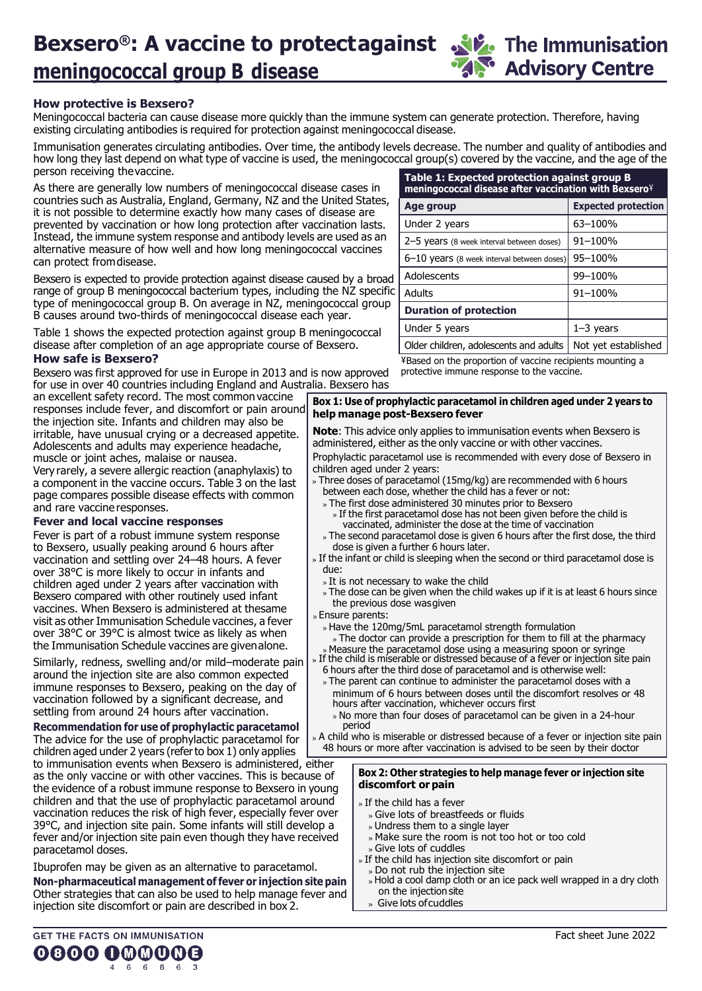disease after completion of an age appropriate course of Bexsero.

#### **How safe is Bexsero?**

Bexsero was first approved for use in Europe in 2013 and is now approved for use in over 40 countries including England and Australia. Bexsero has

an excellent safety record. The most commonvaccine responses include fever, and discomfort or pain around the injection site. Infants and children may also be irritable, have unusual crying or a decreased appetite. Adolescents and adults may experience headache, muscle or joint aches, malaise or nausea. Very rarely, a severe allergic reaction (anaphylaxis) to a component in the vaccine occurs. Table 3 on the last page compares possible disease effects with common

#### **Fever and local vaccine responses**

and rare vaccine responses.

Fever is part of a robust immune system response to Bexsero, usually peaking around 6 hours after vaccination and settling over 24–48 hours. A fever over 38°C is more likely to occur in infants and children aged under 2 years after vaccination with Bexsero compared with other routinely used infant vaccines. When Bexsero is administered at thesame visit as other Immunisation Schedule vaccines, a fever over 38°C or 39°C is almost twice as likely as when the Immunisation Schedule vaccines are givenalone.

Similarly, redness, swelling and/or mild–moderate pain around the injection site are also common expected immune responses to Bexsero, peaking on the day of vaccination followed by a significant decrease, and settling from around 24 hours after vaccination.

**Recommendation for use of prophylactic paracetamol**  The advice for the use of prophylactic paracetamol for children aged under 2 years (referto box 1) only applies

to immunisation events when Bexsero is administered, either as the only vaccine or with other vaccines. This is because of the evidence of a robust immune response to Bexsero in young children and that the use of prophylactic paracetamol around vaccination reduces the risk of high fever, especially fever over 39°C, and injection site pain. Some infants will still develop a fever and/or injection site pain even though they have received paracetamol doses.

Ibuprofen may be given as an alternative to paracetamol.

**GET THE FACTS ON IMMUNISATION** 

**Non-pharmaceutical management offever or injection site pain**  Other strategies that can also be used to help manage fever and injection site discomfort or pain are described in box 2.

¥Based on the proportion of vaccine recipients mounting a protective immune response to the vaccine. **Box 1: Use of prophylactic paracetamol in children aged under 2 years to help manage post-Bexsero fever**

Older children, adolescents and adults | Not yet established

Under 5 years 2011<sup>-3</sup> years

**Age group Expected protection**

Under 2 years  $\begin{array}{|c|c|c|c|c|} \hline 63–100\% \hline \end{array}$ 2–5 years (8 week interval between doses)  $\vert$  91–100%  $6-10$  years (8 week interval between doses) 95-100% Adolescents 99–100%

**Note**: This advice only applies to immunisation events when Bexsero is administered, either as the only vaccine or with other vaccines. Prophylactic paracetamol use is recommended with every dose of Bexsero in

children aged under 2 years: » Three doses of paracetamol (15mg/kg) are recommended with 6 hours

- between each dose, whether the child has a fever or not:
- The first dose administered 30 minutes prior to Bexsero » If the first paracetamol dose has not been given before the child is vaccinated, administer the dose at the time of vaccination
- » The second paracetamol dose is given 6 hours after the first dose, the third dose is given a further 6 hours later.
- » If the infant or child is sleeping when the second or third paracetamol dose is due:
	- » It is not necessary to wake the child
- » The dose can be given when the child wakes up if it is at least 6 hours since the previous dose wasgiven
- Ensure parents:
- » Have the 120mg/5mL paracetamol strength formulation » The doctor can provide a prescription for them to fill at the pharmacy
- Measure the paracetamol dose using a measuring spoon or syringe If the child is miserable or distressed because of a fever or injection site pain
- 6 hours after the third dose of paracetamol and is otherwise well:
- The parent can continue to administer the paracetamol doses with a minimum of 6 hours between doses until the discomfort resolves or 48 hours after vaccination, whichever occurs first
	- » No more than four doses of paracetamol can be given in a 24-hour period

» A child who is miserable or distressed because of a fever or injection site pain 48 hours or more after vaccination is advised to be seen by their doctor

#### **Box 2: Other strategies to help manage fever or injection site discomfort or pain**

- » If the child has a fever
	- Give lots of breastfeeds or fluids
	- Undress them to a single layer
- » Make sure the room is not too hot or too cold Give lots of cuddles
- » If the child has injection site discomfort or pain
- Do not rub the injection site
- Hold a cool damp cloth or an ice pack well wrapped in a dry cloth on the injection site
- Give lots ofcuddles

### **How protective is Bexsero?**

Meningococcal bacteria can cause disease more quickly than the immune system can generate protection. Therefore, having existing circulating antibodies is re

Immunisation generates circulating antibodies. Over time, the antibody levels decrease. The number and quality of antibodies and how long they last depend on what type of vaccine is used, the meningococcal group(s) covered by the vaccine, and the age of the

**Bexsero**<sup>®</sup>: A vaccine to protectagainst **A** the Immunisation

As there are generally low number countries such as Australia, England, Germany, NZ and the United States, it is not possible to determine exactly how many cases of disease are prevented by vaccination or how long protection after vaccination lasts. Instead, the immune system response and antibody levels are used as an alternative measure of how well and how long meningococcal vaccines

can protect fromdisease. Bexsero is expected to provide protection against disease caused by a broad

range of group B meningococcal bacterium types, including the NZ specific type of meningococcal group B. On average in NZ, meningococcal group Adults 91–100% **Duration of protection**

Table 1 shows the expected protection against group B meningococcal

**meningococcal group B disease**

person receiving thevaccine.

| ers of meningococcal disease cases in                                                                                                             | Table 1: Expected protection against group B<br>meningococcal disease after vaccination with Bexsero <sup>¥</sup>                                                                                 |  |  |  |  |  |  |
|---------------------------------------------------------------------------------------------------------------------------------------------------|---------------------------------------------------------------------------------------------------------------------------------------------------------------------------------------------------|--|--|--|--|--|--|
|                                                                                                                                                   | ng antibodies. Over time, the antibody levels decrease. The number and quality of antibodies a<br>at type of vaccine is used, the meningococcal group(s) covered by the vaccine, and the age of t |  |  |  |  |  |  |
| e disease more quickly than the immune system can generate protection. Therefore, having<br>equired for protection against meningococcal disease. |                                                                                                                                                                                                   |  |  |  |  |  |  |

| 0000 000000 |  |  |             |  |  |
|-------------|--|--|-------------|--|--|
|             |  |  | 4 6 6 8 6 3 |  |  |

**Advisory Centre**